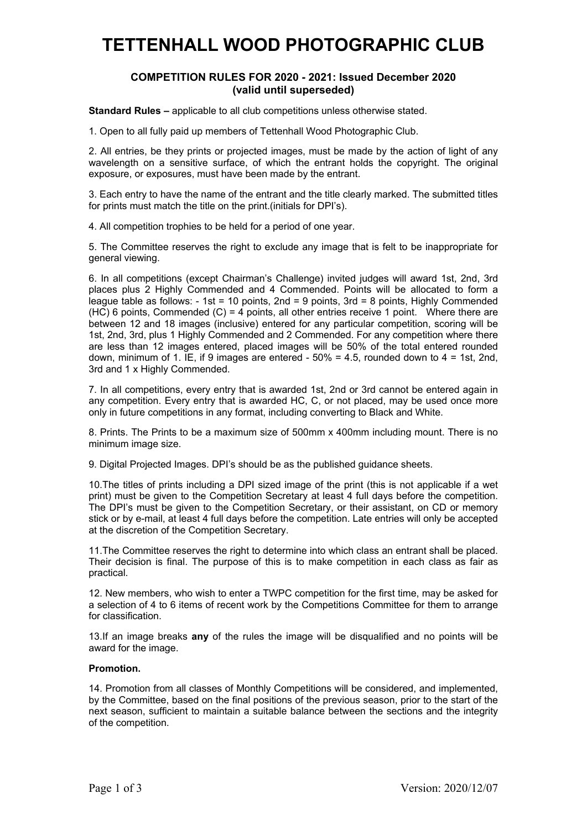## **TETTENHALL WOOD PHOTOGRAPHIC CLUB**

## **COMPETITION RULES FOR 2020 - 2021: Issued December 2020 (valid until superseded)**

**Standard Rules –** applicable to all club competitions unless otherwise stated.

1. Open to all fully paid up members of Tettenhall Wood Photographic Club.

2. All entries, be they prints or projected images, must be made by the action of light of any wavelength on a sensitive surface, of which the entrant holds the copyright. The original exposure, or exposures, must have been made by the entrant.

3. Each entry to have the name of the entrant and the title clearly marked. The submitted titles for prints must match the title on the print.(initials for DPI's).

4. All competition trophies to be held for a period of one year.

5. The Committee reserves the right to exclude any image that is felt to be inappropriate for general viewing.

6. In all competitions (except Chairman's Challenge) invited judges will award 1st, 2nd, 3rd places plus 2 Highly Commended and 4 Commended. Points will be allocated to form a league table as follows: - 1st = 10 points, 2nd = 9 points, 3rd = 8 points, Highly Commended  $(HC)$  6 points, Commended  $(C)$  = 4 points, all other entries receive 1 point. Where there are between 12 and 18 images (inclusive) entered for any particular competition, scoring will be 1st, 2nd, 3rd, plus 1 Highly Commended and 2 Commended. For any competition where there are less than 12 images entered, placed images will be 50% of the total entered rounded down, minimum of 1. IE, if 9 images are entered  $-50\% = 4.5$ , rounded down to  $4 = 1$ st, 2nd, 3rd and 1 x Highly Commended.

7. In all competitions, every entry that is awarded 1st, 2nd or 3rd cannot be entered again in any competition. Every entry that is awarded HC, C, or not placed, may be used once more only in future competitions in any format, including converting to Black and White.

8. Prints. The Prints to be a maximum size of 500mm x 400mm including mount. There is no minimum image size.

9. Digital Projected Images. DPI's should be as the published guidance sheets.

10.The titles of prints including a DPI sized image of the print (this is not applicable if a wet print) must be given to the Competition Secretary at least 4 full days before the competition. The DPI's must be given to the Competition Secretary, or their assistant, on CD or memory stick or by e-mail, at least 4 full days before the competition. Late entries will only be accepted at the discretion of the Competition Secretary.

11.The Committee reserves the right to determine into which class an entrant shall be placed. Their decision is final. The purpose of this is to make competition in each class as fair as practical.

12. New members, who wish to enter a TWPC competition for the first time, may be asked for a selection of 4 to 6 items of recent work by the Competitions Committee for them to arrange for classification.

13.If an image breaks **any** of the rules the image will be disqualified and no points will be award for the image.

## **Promotion.**

14. Promotion from all classes of Monthly Competitions will be considered, and implemented, by the Committee, based on the final positions of the previous season, prior to the start of the next season, sufficient to maintain a suitable balance between the sections and the integrity of the competition.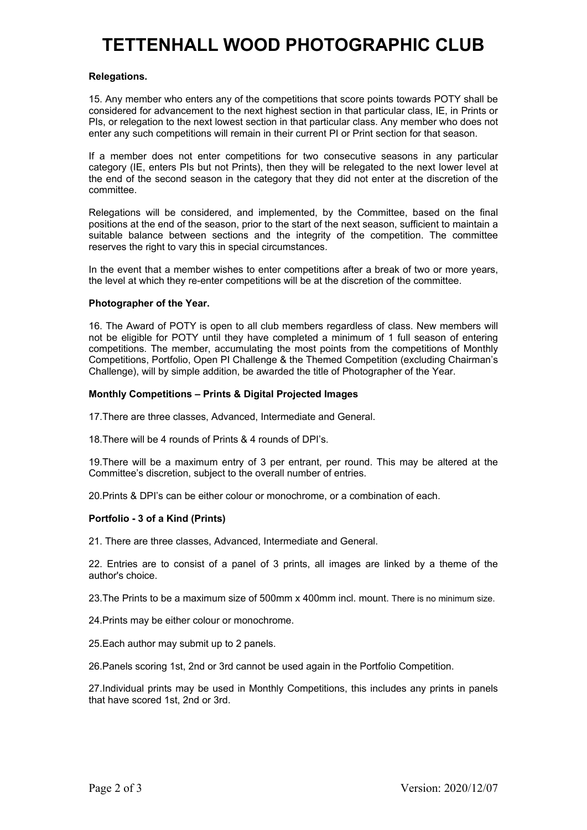# **TETTENHALL WOOD PHOTOGRAPHIC CLUB**

### **Relegations.**

15. Any member who enters any of the competitions that score points towards POTY shall be considered for advancement to the next highest section in that particular class, IE, in Prints or PIs, or relegation to the next lowest section in that particular class. Any member who does not enter any such competitions will remain in their current PI or Print section for that season.

If a member does not enter competitions for two consecutive seasons in any particular category (IE, enters PIs but not Prints), then they will be relegated to the next lower level at the end of the second season in the category that they did not enter at the discretion of the committee.

Relegations will be considered, and implemented, by the Committee, based on the final positions at the end of the season, prior to the start of the next season, sufficient to maintain a suitable balance between sections and the integrity of the competition. The committee reserves the right to vary this in special circumstances.

In the event that a member wishes to enter competitions after a break of two or more years, the level at which they re-enter competitions will be at the discretion of the committee.

#### **Photographer of the Year.**

16. The Award of POTY is open to all club members regardless of class. New members will not be eligible for POTY until they have completed a minimum of 1 full season of entering competitions. The member, accumulating the most points from the competitions of Monthly Competitions, Portfolio, Open PI Challenge & the Themed Competition (excluding Chairman's Challenge), will by simple addition, be awarded the title of Photographer of the Year.

### **Monthly Competitions – Prints & Digital Projected Images**

17.There are three classes, Advanced, Intermediate and General.

18.There will be 4 rounds of Prints & 4 rounds of DPI's.

19.There will be a maximum entry of 3 per entrant, per round. This may be altered at the Committee's discretion, subject to the overall number of entries.

20.Prints & DPI's can be either colour or monochrome, or a combination of each.

#### **Portfolio - 3 of a Kind (Prints)**

21. There are three classes, Advanced, Intermediate and General.

22. Entries are to consist of a panel of 3 prints, all images are linked by a theme of the author's choice.

23.The Prints to be a maximum size of 500mm x 400mm incl. mount. There is no minimum size.

24.Prints may be either colour or monochrome.

25.Each author may submit up to 2 panels.

26.Panels scoring 1st, 2nd or 3rd cannot be used again in the Portfolio Competition.

27.Individual prints may be used in Monthly Competitions, this includes any prints in panels that have scored 1st, 2nd or 3rd.